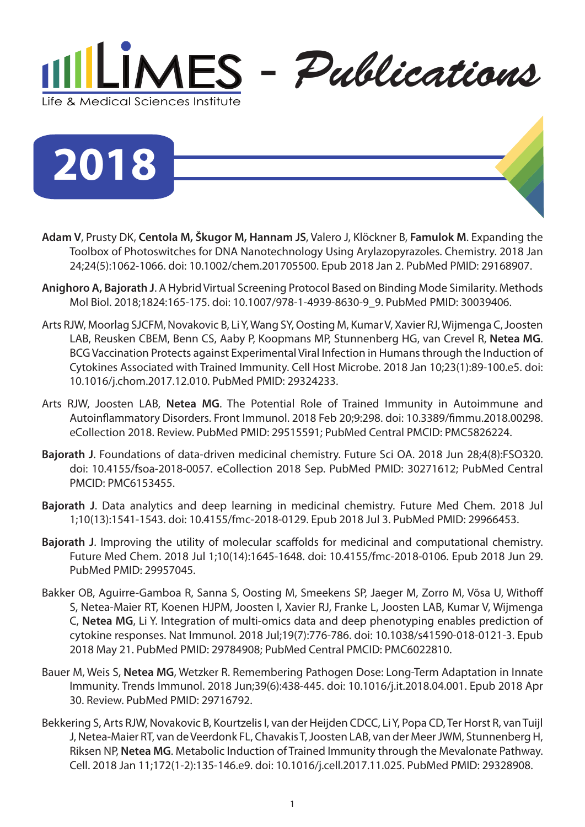

**2018**

- **Adam V**, Prusty DK, **Centola M, Škugor M, Hannam JS**, Valero J, Klöckner B, **Famulok M**. Expanding the Toolbox of Photoswitches for DNA Nanotechnology Using Arylazopyrazoles. Chemistry. 2018 Jan 24;24(5):1062-1066. doi: 10.1002/chem.201705500. Epub 2018 Jan 2. PubMed PMID: 29168907.
- **Anighoro A, Bajorath J**. A Hybrid Virtual Screening Protocol Based on Binding Mode Similarity. Methods Mol Biol. 2018;1824:165-175. doi: 10.1007/978-1-4939-8630-9\_9. PubMed PMID: 30039406.
- Arts RJW, Moorlag SJCFM, Novakovic B, Li Y, Wang SY, Oosting M, Kumar V, Xavier RJ, Wijmenga C, Joosten LAB, Reusken CBEM, Benn CS, Aaby P, Koopmans MP, Stunnenberg HG, van Crevel R, **Netea MG**. BCG Vaccination Protects against Experimental Viral Infection in Humans through the Induction of Cytokines Associated with Trained Immunity. Cell Host Microbe. 2018 Jan 10;23(1):89-100.e5. doi: 10.1016/j.chom.2017.12.010. PubMed PMID: 29324233.
- Arts RJW, Joosten LAB, **Netea MG**. The Potential Role of Trained Immunity in Autoimmune and Autoinflammatory Disorders. Front Immunol. 2018 Feb 20;9:298. doi: 10.3389/fimmu.2018.00298. eCollection 2018. Review. PubMed PMID: 29515591; PubMed Central PMCID: PMC5826224.
- **Bajorath J**. Foundations of data-driven medicinal chemistry. Future Sci OA. 2018 Jun 28;4(8):FSO320. doi: 10.4155/fsoa-2018-0057. eCollection 2018 Sep. PubMed PMID: 30271612; PubMed Central PMCID: PMC6153455.
- **Bajorath J**. Data analytics and deep learning in medicinal chemistry. Future Med Chem. 2018 Jul 1;10(13):1541-1543. doi: 10.4155/fmc-2018-0129. Epub 2018 Jul 3. PubMed PMID: 29966453.
- **Bajorath J**. Improving the utility of molecular scaffolds for medicinal and computational chemistry. Future Med Chem. 2018 Jul 1;10(14):1645-1648. doi: 10.4155/fmc-2018-0106. Epub 2018 Jun 29. PubMed PMID: 29957045.
- Bakker OB, Aguirre-Gamboa R, Sanna S, Oosting M, Smeekens SP, Jaeger M, Zorro M, Võsa U, Withoff S, Netea-Maier RT, Koenen HJPM, Joosten I, Xavier RJ, Franke L, Joosten LAB, Kumar V, Wijmenga C, **Netea MG**, Li Y. Integration of multi-omics data and deep phenotyping enables prediction of cytokine responses. Nat Immunol. 2018 Jul;19(7):776-786. doi: 10.1038/s41590-018-0121-3. Epub 2018 May 21. PubMed PMID: 29784908; PubMed Central PMCID: PMC6022810.
- Bauer M, Weis S, **Netea MG**, Wetzker R. Remembering Pathogen Dose: Long-Term Adaptation in Innate Immunity. Trends Immunol. 2018 Jun;39(6):438-445. doi: 10.1016/j.it.2018.04.001. Epub 2018 Apr 30. Review. PubMed PMID: 29716792.
- Bekkering S, Arts RJW, Novakovic B, Kourtzelis I, van der Heijden CDCC, Li Y, Popa CD, Ter Horst R, van Tuijl J, Netea-Maier RT, van de Veerdonk FL, Chavakis T, Joosten LAB, van der Meer JWM, Stunnenberg H, Riksen NP, **Netea MG**. Metabolic Induction of Trained Immunity through the Mevalonate Pathway. Cell. 2018 Jan 11;172(1-2):135-146.e9. doi: 10.1016/j.cell.2017.11.025. PubMed PMID: 29328908.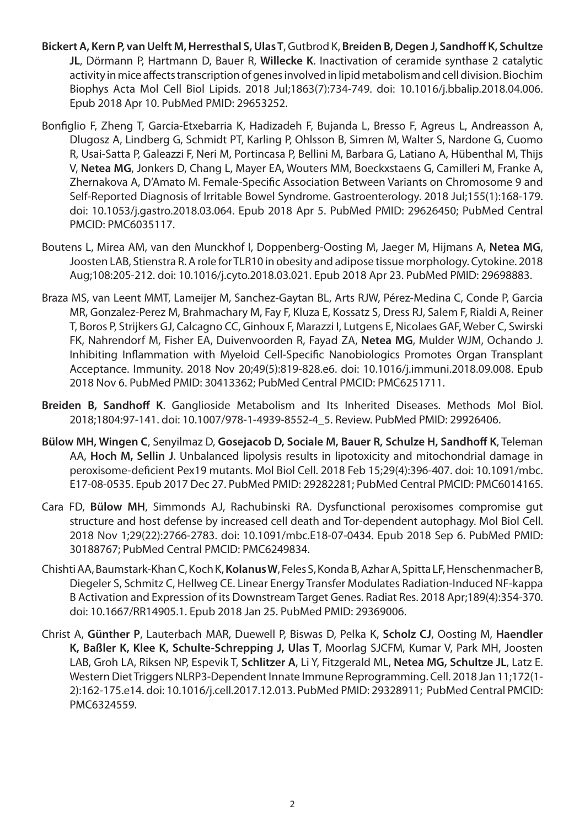- **Bickert A, Kern P, van Uelft M, Herresthal S, Ulas T**, Gutbrod K, **Breiden B, Degen J, Sandhoff K, Schultze JL**, Dörmann P, Hartmann D, Bauer R, **Willecke K**. Inactivation of ceramide synthase 2 catalytic activity in mice affects transcription of genes involved in lipid metabolism and cell division. Biochim Biophys Acta Mol Cell Biol Lipids. 2018 Jul;1863(7):734-749. doi: 10.1016/j.bbalip.2018.04.006. Epub 2018 Apr 10. PubMed PMID: 29653252.
- Bonfiglio F, Zheng T, Garcia-Etxebarria K, Hadizadeh F, Bujanda L, Bresso F, Agreus L, Andreasson A, Dlugosz A, Lindberg G, Schmidt PT, Karling P, Ohlsson B, Simren M, Walter S, Nardone G, Cuomo R, Usai-Satta P, Galeazzi F, Neri M, Portincasa P, Bellini M, Barbara G, Latiano A, Hübenthal M, Thijs V, **Netea MG**, Jonkers D, Chang L, Mayer EA, Wouters MM, Boeckxstaens G, Camilleri M, Franke A, Zhernakova A, D'Amato M. Female-Specific Association Between Variants on Chromosome 9 and Self-Reported Diagnosis of Irritable Bowel Syndrome. Gastroenterology. 2018 Jul;155(1):168-179. doi: 10.1053/j.gastro.2018.03.064. Epub 2018 Apr 5. PubMed PMID: 29626450; PubMed Central PMCID: PMC6035117.
- Boutens L, Mirea AM, van den Munckhof I, Doppenberg-Oosting M, Jaeger M, Hijmans A, **Netea MG**, Joosten LAB, Stienstra R. A role for TLR10 in obesity and adipose tissue morphology. Cytokine. 2018 Aug;108:205-212. doi: 10.1016/j.cyto.2018.03.021. Epub 2018 Apr 23. PubMed PMID: 29698883.
- Braza MS, van Leent MMT, Lameijer M, Sanchez-Gaytan BL, Arts RJW, Pérez-Medina C, Conde P, Garcia MR, Gonzalez-Perez M, Brahmachary M, Fay F, Kluza E, Kossatz S, Dress RJ, Salem F, Rialdi A, Reiner T, Boros P, Strijkers GJ, Calcagno CC, Ginhoux F, Marazzi I, Lutgens E, Nicolaes GAF, Weber C, Swirski FK, Nahrendorf M, Fisher EA, Duivenvoorden R, Fayad ZA, **Netea MG**, Mulder WJM, Ochando J. Inhibiting Inflammation with Myeloid Cell-Specific Nanobiologics Promotes Organ Transplant Acceptance. Immunity. 2018 Nov 20;49(5):819-828.e6. doi: 10.1016/j.immuni.2018.09.008. Epub 2018 Nov 6. PubMed PMID: 30413362; PubMed Central PMCID: PMC6251711.
- **Breiden B, Sandhoff K**. Ganglioside Metabolism and Its Inherited Diseases. Methods Mol Biol. 2018;1804:97-141. doi: 10.1007/978-1-4939-8552-4\_5. Review. PubMed PMID: 29926406.
- **Bülow MH, Wingen C**, Senyilmaz D, **Gosejacob D, Sociale M, Bauer R, Schulze H, Sandhoff K**, Teleman AA, **Hoch M, Sellin J**. Unbalanced lipolysis results in lipotoxicity and mitochondrial damage in peroxisome-deficient Pex19 mutants. Mol Biol Cell. 2018 Feb 15;29(4):396-407. doi: 10.1091/mbc. E17-08-0535. Epub 2017 Dec 27. PubMed PMID: 29282281; PubMed Central PMCID: PMC6014165.
- Cara FD, **Bülow MH**, Simmonds AJ, Rachubinski RA. Dysfunctional peroxisomes compromise gut structure and host defense by increased cell death and Tor-dependent autophagy. Mol Biol Cell. 2018 Nov 1;29(22):2766-2783. doi: 10.1091/mbc.E18-07-0434. Epub 2018 Sep 6. PubMed PMID: 30188767; PubMed Central PMCID: PMC6249834.
- Chishti AA, Baumstark-Khan C, Koch K, **Kolanus W**, Feles S, Konda B, Azhar A, Spitta LF, Henschenmacher B, Diegeler S, Schmitz C, Hellweg CE. Linear Energy Transfer Modulates Radiation-Induced NF-kappa B Activation and Expression of its Downstream Target Genes. Radiat Res. 2018 Apr;189(4):354-370. doi: 10.1667/RR14905.1. Epub 2018 Jan 25. PubMed PMID: 29369006.
- Christ A, **Günther P**, Lauterbach MAR, Duewell P, Biswas D, Pelka K, **Scholz CJ**, Oosting M, **Haendler K, Baßler K, Klee K, Schulte-Schrepping J, Ulas T**, Moorlag SJCFM, Kumar V, Park MH, Joosten LAB, Groh LA, Riksen NP, Espevik T, **Schlitzer A**, Li Y, Fitzgerald ML, **Netea MG, Schultze JL**, Latz E. Western Diet Triggers NLRP3-Dependent Innate Immune Reprogramming. Cell. 2018 Jan 11;172(1- 2):162-175.e14. doi: 10.1016/j.cell.2017.12.013. PubMed PMID: 29328911; PubMed Central PMCID: PMC6324559.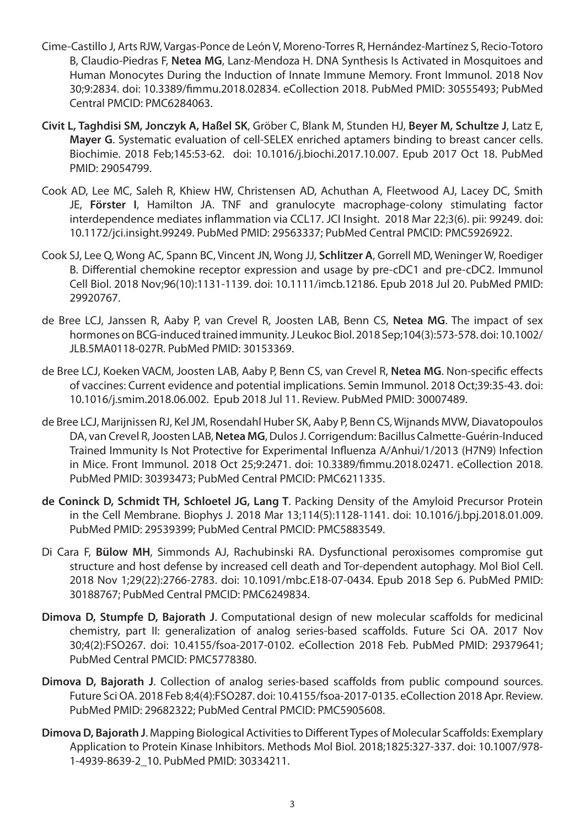- Cime-Castillo J, Arts RJW, Vargas-Ponce de León V, Moreno-Torres R, Hernández-Martínez S, Recio-Totoro B, Claudio-Piedras F, **Netea MG**, Lanz-Mendoza H. DNA Synthesis Is Activated in Mosquitoes and Human Monocytes During the Induction of Innate Immune Memory. Front Immunol. 2018 Nov 30;9:2834. doi: 10.3389/fimmu.2018.02834. eCollection 2018. PubMed PMID: 30555493; PubMed Central PMCID: PMC6284063.
- **Civit L, Taghdisi SM, Jonczyk A, Haßel SK**, Gröber C, Blank M, Stunden HJ, **Beyer M, Schultze J**, Latz E, **Mayer G**. Systematic evaluation of cell-SELEX enriched aptamers binding to breast cancer cells. Biochimie. 2018 Feb;145:53-62. doi: 10.1016/j.biochi.2017.10.007. Epub 2017 Oct 18. PubMed PMID: 29054799.
- Cook AD, Lee MC, Saleh R, Khiew HW, Christensen AD, Achuthan A, Fleetwood AJ, Lacey DC, Smith JE, **Förster I**, Hamilton JA. TNF and granulocyte macrophage-colony stimulating factor interdependence mediates inflammation via CCL17. JCI Insight. 2018 Mar 22;3(6). pii: 99249. doi: 10.1172/jci.insight.99249. PubMed PMID: 29563337; PubMed Central PMCID: PMC5926922.
- Cook SJ, Lee Q, Wong AC, Spann BC, Vincent JN, Wong JJ, **Schlitzer A**, Gorrell MD, Weninger W, Roediger B. Differential chemokine receptor expression and usage by pre-cDC1 and pre-cDC2. Immunol Cell Biol. 2018 Nov;96(10):1131-1139. doi: 10.1111/imcb.12186. Epub 2018 Jul 20. PubMed PMID: 29920767.
- de Bree LCJ, Janssen R, Aaby P, van Crevel R, Joosten LAB, Benn CS, **Netea MG**. The impact of sex hormones on BCG-induced trained immunity. J Leukoc Biol. 2018 Sep;104(3):573-578. doi: 10.1002/ JLB.5MA0118-027R. PubMed PMID: 30153369.
- de Bree LCJ, Koeken VACM, Joosten LAB, Aaby P, Benn CS, van Crevel R, **Netea MG**. Non-specific effects of vaccines: Current evidence and potential implications. Semin Immunol. 2018 Oct;39:35-43. doi: 10.1016/j.smim.2018.06.002. Epub 2018 Jul 11. Review. PubMed PMID: 30007489.
- de Bree LCJ, Marijnissen RJ, Kel JM, Rosendahl Huber SK, Aaby P, Benn CS, Wijnands MVW, Diavatopoulos DA, van Crevel R, Joosten LAB, **Netea MG**, Dulos J. Corrigendum: Bacillus Calmette-Guérin-Induced Trained Immunity Is Not Protective for Experimental Influenza A/Anhui/1/2013 (H7N9) Infection in Mice. Front Immunol. 2018 Oct 25;9:2471. doi: 10.3389/fimmu.2018.02471. eCollection 2018. PubMed PMID: 30393473; PubMed Central PMCID: PMC6211335.
- **de Coninck D, Schmidt TH, Schloetel JG, Lang T**. Packing Density of the Amyloid Precursor Protein in the Cell Membrane. Biophys J. 2018 Mar 13;114(5):1128-1141. doi: 10.1016/j.bpj.2018.01.009. PubMed PMID: 29539399; PubMed Central PMCID: PMC5883549.
- Di Cara F, **Bülow MH**, Simmonds AJ, Rachubinski RA. Dysfunctional peroxisomes compromise gut structure and host defense by increased cell death and Tor-dependent autophagy. Mol Biol Cell. 2018 Nov 1;29(22):2766-2783. doi: 10.1091/mbc.E18-07-0434. Epub 2018 Sep 6. PubMed PMID: 30188767; PubMed Central PMCID: PMC6249834.
- **Dimova D, Stumpfe D, Bajorath J**. Computational design of new molecular scaffolds for medicinal chemistry, part II: generalization of analog series-based scaffolds. Future Sci OA. 2017 Nov 30;4(2):FSO267. doi: 10.4155/fsoa-2017-0102. eCollection 2018 Feb. PubMed PMID: 29379641; PubMed Central PMCID: PMC5778380.
- **Dimova D, Bajorath J**. Collection of analog series-based scaffolds from public compound sources. Future Sci OA. 2018 Feb 8;4(4):FSO287. doi: 10.4155/fsoa-2017-0135. eCollection 2018 Apr. Review. PubMed PMID: 29682322; PubMed Central PMCID: PMC5905608.
- **Dimova D, Bajorath J**. Mapping Biological Activities to Different Types of Molecular Scaffolds: Exemplary Application to Protein Kinase Inhibitors. Methods Mol Biol. 2018;1825:327-337. doi: 10.1007/978- 1-4939-8639-2\_10. PubMed PMID: 30334211.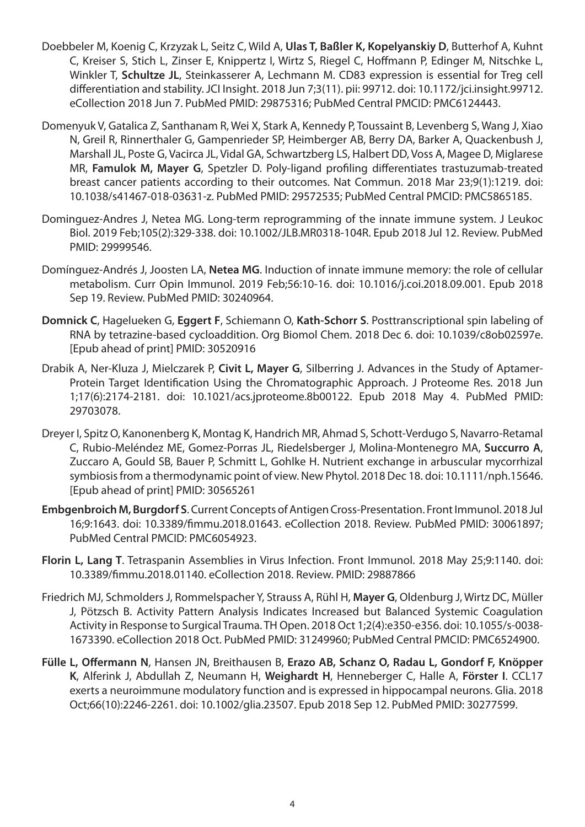- Doebbeler M, Koenig C, Krzyzak L, Seitz C, Wild A, **Ulas T, Baßler K, Kopelyanskiy D**, Butterhof A, Kuhnt C, Kreiser S, Stich L, Zinser E, Knippertz I, Wirtz S, Riegel C, Hoffmann P, Edinger M, Nitschke L, Winkler T, **Schultze JL**, Steinkasserer A, Lechmann M. CD83 expression is essential for Treg cell differentiation and stability. JCI Insight. 2018 Jun 7;3(11). pii: 99712. doi: 10.1172/jci.insight.99712. eCollection 2018 Jun 7. PubMed PMID: 29875316; PubMed Central PMCID: PMC6124443.
- Domenyuk V, Gatalica Z, Santhanam R, Wei X, Stark A, Kennedy P, Toussaint B, Levenberg S, Wang J, Xiao N, Greil R, Rinnerthaler G, Gampenrieder SP, Heimberger AB, Berry DA, Barker A, Quackenbush J, Marshall JL, Poste G, Vacirca JL, Vidal GA, Schwartzberg LS, Halbert DD, Voss A, Magee D, Miglarese MR, **Famulok M, Mayer G**, Spetzler D. Poly-ligand profiling differentiates trastuzumab-treated breast cancer patients according to their outcomes. Nat Commun. 2018 Mar 23;9(1):1219. doi: 10.1038/s41467-018-03631-z. PubMed PMID: 29572535; PubMed Central PMCID: PMC5865185.
- Dominguez-Andres J, Netea MG. Long-term reprogramming of the innate immune system. J Leukoc Biol. 2019 Feb;105(2):329-338. doi: 10.1002/JLB.MR0318-104R. Epub 2018 Jul 12. Review. PubMed PMID: 29999546.
- Domínguez-Andrés J, Joosten LA, **Netea MG**. Induction of innate immune memory: the role of cellular metabolism. Curr Opin Immunol. 2019 Feb;56:10-16. doi: 10.1016/j.coi.2018.09.001. Epub 2018 Sep 19. Review. PubMed PMID: 30240964.
- **Domnick C**, Hagelueken G, **Eggert F**, Schiemann O, **Kath-Schorr S**. Posttranscriptional spin labeling of RNA by tetrazine-based cycloaddition. Org Biomol Chem. 2018 Dec 6. doi: 10.1039/c8ob02597e. [Epub ahead of print] PMID: 30520916
- Drabik A, Ner-Kluza J, Mielczarek P, **Civit L, Mayer G**, Silberring J. Advances in the Study of Aptamer-Protein Target Identification Using the Chromatographic Approach. J Proteome Res. 2018 Jun 1;17(6):2174-2181. doi: 10.1021/acs.jproteome.8b00122. Epub 2018 May 4. PubMed PMID: 29703078.
- Dreyer I, Spitz O, Kanonenberg K, Montag K, Handrich MR, Ahmad S, Schott-Verdugo S, Navarro-Retamal C, Rubio-Meléndez ME, Gomez-Porras JL, Riedelsberger J, Molina-Montenegro MA, **Succurro A**, Zuccaro A, Gould SB, Bauer P, Schmitt L, Gohlke H. Nutrient exchange in arbuscular mycorrhizal symbiosis from a thermodynamic point of view. New Phytol. 2018 Dec 18. doi: 10.1111/nph.15646. [Epub ahead of print] PMID: 30565261
- **Embgenbroich M, Burgdorf S**. Current Concepts of Antigen Cross-Presentation. Front Immunol. 2018 Jul 16;9:1643. doi: 10.3389/fimmu.2018.01643. eCollection 2018. Review. PubMed PMID: 30061897; PubMed Central PMCID: PMC6054923.
- **Florin L, Lang T**. Tetraspanin Assemblies in Virus Infection. Front Immunol. 2018 May 25;9:1140. doi: 10.3389/fimmu.2018.01140. eCollection 2018. Review. PMID: 29887866
- Friedrich MJ, Schmolders J, Rommelspacher Y, Strauss A, Rühl H, **Mayer G**, Oldenburg J, Wirtz DC, Müller J, Pötzsch B. Activity Pattern Analysis Indicates Increased but Balanced Systemic Coagulation Activity in Response to Surgical Trauma. TH Open. 2018 Oct 1;2(4):e350-e356. doi: 10.1055/s-0038- 1673390. eCollection 2018 Oct. PubMed PMID: 31249960; PubMed Central PMCID: PMC6524900.
- **Fülle L, Offermann N**, Hansen JN, Breithausen B, **Erazo AB, Schanz O, Radau L, Gondorf F, Knöpper K**, Alferink J, Abdullah Z, Neumann H, **Weighardt H**, Henneberger C, Halle A, **Förster I**. CCL17 exerts a neuroimmune modulatory function and is expressed in hippocampal neurons. Glia. 2018 Oct;66(10):2246-2261. doi: 10.1002/glia.23507. Epub 2018 Sep 12. PubMed PMID: 30277599.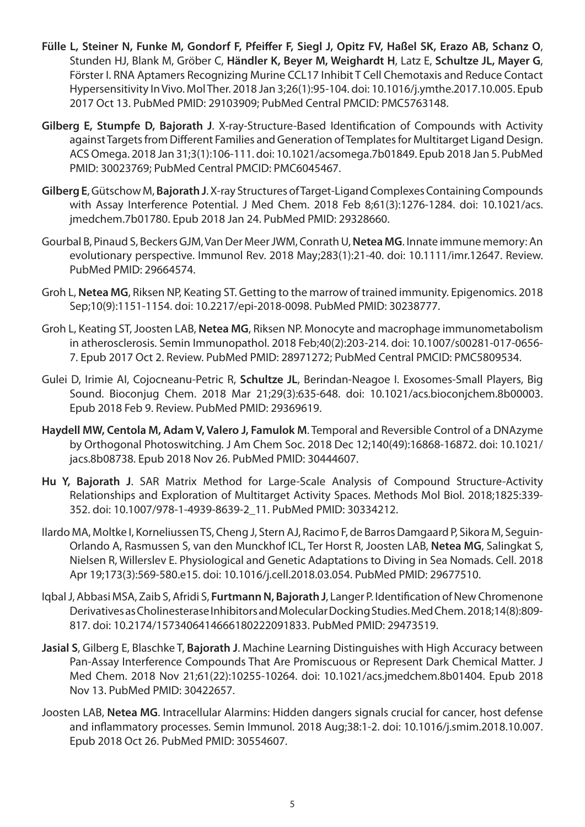- **Fülle L, Steiner N, Funke M, Gondorf F, Pfeiffer F, Siegl J, Opitz FV, Haßel SK, Erazo AB, Schanz O**, Stunden HJ, Blank M, Gröber C, **Händler K, Beyer M, Weighardt H**, Latz E, **Schultze JL, Mayer G**, Förster I. RNA Aptamers Recognizing Murine CCL17 Inhibit T Cell Chemotaxis and Reduce Contact Hypersensitivity In Vivo. Mol Ther. 2018 Jan 3;26(1):95-104. doi: 10.1016/j.ymthe.2017.10.005. Epub 2017 Oct 13. PubMed PMID: 29103909; PubMed Central PMCID: PMC5763148.
- **Gilberg E, Stumpfe D, Bajorath J**. X-ray-Structure-Based Identification of Compounds with Activity against Targets from Different Families and Generation of Templates for Multitarget Ligand Design. ACS Omega. 2018 Jan 31;3(1):106-111. doi: 10.1021/acsomega.7b01849. Epub 2018 Jan 5. PubMed PMID: 30023769; PubMed Central PMCID: PMC6045467.
- **Gilberg E**, Gütschow M, **Bajorath J**. X-ray Structures of Target-Ligand Complexes Containing Compounds with Assay Interference Potential. J Med Chem. 2018 Feb 8;61(3):1276-1284. doi: 10.1021/acs. jmedchem.7b01780. Epub 2018 Jan 24. PubMed PMID: 29328660.
- Gourbal B, Pinaud S, Beckers GJM, Van Der Meer JWM, Conrath U, **Netea MG**. Innate immune memory: An evolutionary perspective. Immunol Rev. 2018 May;283(1):21-40. doi: 10.1111/imr.12647. Review. PubMed PMID: 29664574.
- Groh L, **Netea MG**, Riksen NP, Keating ST. Getting to the marrow of trained immunity. Epigenomics. 2018 Sep;10(9):1151-1154. doi: 10.2217/epi-2018-0098. PubMed PMID: 30238777.
- Groh L, Keating ST, Joosten LAB, **Netea MG**, Riksen NP. Monocyte and macrophage immunometabolism in atherosclerosis. Semin Immunopathol. 2018 Feb;40(2):203-214. doi: 10.1007/s00281-017-0656- 7. Epub 2017 Oct 2. Review. PubMed PMID: 28971272; PubMed Central PMCID: PMC5809534.
- Gulei D, Irimie AI, Cojocneanu-Petric R, **Schultze JL**, Berindan-Neagoe I. Exosomes-Small Players, Big Sound. Bioconjug Chem. 2018 Mar 21;29(3):635-648. doi: 10.1021/acs.bioconjchem.8b00003. Epub 2018 Feb 9. Review. PubMed PMID: 29369619.
- **Haydell MW, Centola M, Adam V, Valero J, Famulok M**. Temporal and Reversible Control of a DNAzyme by Orthogonal Photoswitching. J Am Chem Soc. 2018 Dec 12;140(49):16868-16872. doi: 10.1021/ jacs.8b08738. Epub 2018 Nov 26. PubMed PMID: 30444607.
- **Hu Y, Bajorath J**. SAR Matrix Method for Large-Scale Analysis of Compound Structure-Activity Relationships and Exploration of Multitarget Activity Spaces. Methods Mol Biol. 2018;1825:339- 352. doi: 10.1007/978-1-4939-8639-2\_11. PubMed PMID: 30334212.
- Ilardo MA, Moltke I, Korneliussen TS, Cheng J, Stern AJ, Racimo F, de Barros Damgaard P, Sikora M, Seguin-Orlando A, Rasmussen S, van den Munckhof ICL, Ter Horst R, Joosten LAB, **Netea MG**, Salingkat S, Nielsen R, Willerslev E. Physiological and Genetic Adaptations to Diving in Sea Nomads. Cell. 2018 Apr 19;173(3):569-580.e15. doi: 10.1016/j.cell.2018.03.054. PubMed PMID: 29677510.
- Iqbal J, Abbasi MSA, Zaib S, Afridi S, **Furtmann N, Bajorath J**, Langer P. Identification of New Chromenone Derivatives as Cholinesterase Inhibitors and Molecular Docking Studies. Med Chem. 2018;14(8):809- 817. doi: 10.2174/1573406414666180222091833. PubMed PMID: 29473519.
- **Jasial S**, Gilberg E, Blaschke T, **Bajorath J**. Machine Learning Distinguishes with High Accuracy between Pan-Assay Interference Compounds That Are Promiscuous or Represent Dark Chemical Matter. J Med Chem. 2018 Nov 21;61(22):10255-10264. doi: 10.1021/acs.jmedchem.8b01404. Epub 2018 Nov 13. PubMed PMID: 30422657.
- Joosten LAB, **Netea MG**. Intracellular Alarmins: Hidden dangers signals crucial for cancer, host defense and inflammatory processes. Semin Immunol. 2018 Aug;38:1-2. doi: 10.1016/j.smim.2018.10.007. Epub 2018 Oct 26. PubMed PMID: 30554607.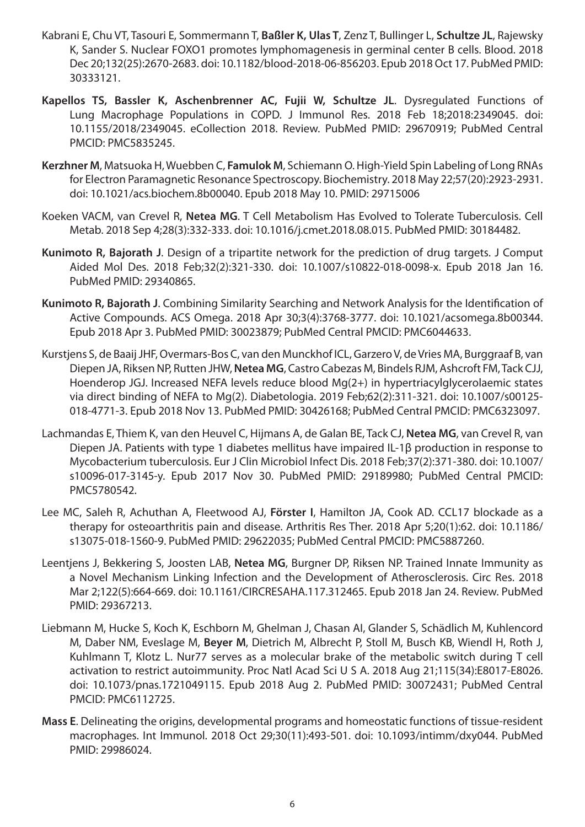- Kabrani E, Chu VT, Tasouri E, Sommermann T, **Baßler K, Ulas T**, Zenz T, Bullinger L, **Schultze JL**, Rajewsky K, Sander S. Nuclear FOXO1 promotes lymphomagenesis in germinal center B cells. Blood. 2018 Dec 20;132(25):2670-2683. doi: 10.1182/blood-2018-06-856203. Epub 2018 Oct 17. PubMed PMID: 30333121.
- **Kapellos TS, Bassler K, Aschenbrenner AC, Fujii W, Schultze JL**. Dysregulated Functions of Lung Macrophage Populations in COPD. J Immunol Res. 2018 Feb 18;2018:2349045. doi: 10.1155/2018/2349045. eCollection 2018. Review. PubMed PMID: 29670919; PubMed Central PMCID: PMC5835245.
- **Kerzhner M**, Matsuoka H, Wuebben C, **Famulok M**, Schiemann O. High-Yield Spin Labeling of Long RNAs for Electron Paramagnetic Resonance Spectroscopy. Biochemistry. 2018 May 22;57(20):2923-2931. doi: 10.1021/acs.biochem.8b00040. Epub 2018 May 10. PMID: 29715006
- Koeken VACM, van Crevel R, **Netea MG**. T Cell Metabolism Has Evolved to Tolerate Tuberculosis. Cell Metab. 2018 Sep 4;28(3):332-333. doi: 10.1016/j.cmet.2018.08.015. PubMed PMID: 30184482.
- **Kunimoto R, Bajorath J**. Design of a tripartite network for the prediction of drug targets. J Comput Aided Mol Des. 2018 Feb;32(2):321-330. doi: 10.1007/s10822-018-0098-x. Epub 2018 Jan 16. PubMed PMID: 29340865.
- **Kunimoto R, Bajorath J**. Combining Similarity Searching and Network Analysis for the Identification of Active Compounds. ACS Omega. 2018 Apr 30;3(4):3768-3777. doi: 10.1021/acsomega.8b00344. Epub 2018 Apr 3. PubMed PMID: 30023879; PubMed Central PMCID: PMC6044633.
- Kurstjens S, de Baaij JHF, Overmars-Bos C, van den Munckhof ICL, Garzero V, de Vries MA, Burggraaf B, van Diepen JA, Riksen NP, Rutten JHW, **Netea MG**, Castro Cabezas M, Bindels RJM, Ashcroft FM, Tack CJJ, Hoenderop JGJ. Increased NEFA levels reduce blood Mg(2+) in hypertriacylglycerolaemic states via direct binding of NEFA to Mg(2). Diabetologia. 2019 Feb;62(2):311-321. doi: 10.1007/s00125- 018-4771-3. Epub 2018 Nov 13. PubMed PMID: 30426168; PubMed Central PMCID: PMC6323097.
- Lachmandas E, Thiem K, van den Heuvel C, Hijmans A, de Galan BE, Tack CJ, **Netea MG**, van Crevel R, van Diepen JA. Patients with type 1 diabetes mellitus have impaired IL-1β production in response to Mycobacterium tuberculosis. Eur J Clin Microbiol Infect Dis. 2018 Feb;37(2):371-380. doi: 10.1007/ s10096-017-3145-y. Epub 2017 Nov 30. PubMed PMID: 29189980; PubMed Central PMCID: PMC5780542.
- Lee MC, Saleh R, Achuthan A, Fleetwood AJ, **Förster I**, Hamilton JA, Cook AD. CCL17 blockade as a therapy for osteoarthritis pain and disease. Arthritis Res Ther. 2018 Apr 5;20(1):62. doi: 10.1186/ s13075-018-1560-9. PubMed PMID: 29622035; PubMed Central PMCID: PMC5887260.
- Leentjens J, Bekkering S, Joosten LAB, **Netea MG**, Burgner DP, Riksen NP. Trained Innate Immunity as a Novel Mechanism Linking Infection and the Development of Atherosclerosis. Circ Res. 2018 Mar 2;122(5):664-669. doi: 10.1161/CIRCRESAHA.117.312465. Epub 2018 Jan 24. Review. PubMed PMID: 29367213.
- Liebmann M, Hucke S, Koch K, Eschborn M, Ghelman J, Chasan AI, Glander S, Schädlich M, Kuhlencord M, Daber NM, Eveslage M, **Beyer M**, Dietrich M, Albrecht P, Stoll M, Busch KB, Wiendl H, Roth J, Kuhlmann T, Klotz L. Nur77 serves as a molecular brake of the metabolic switch during T cell activation to restrict autoimmunity. Proc Natl Acad Sci U S A. 2018 Aug 21;115(34):E8017-E8026. doi: 10.1073/pnas.1721049115. Epub 2018 Aug 2. PubMed PMID: 30072431; PubMed Central PMCID: PMC6112725.
- **Mass E**. Delineating the origins, developmental programs and homeostatic functions of tissue-resident macrophages. Int Immunol. 2018 Oct 29;30(11):493-501. doi: 10.1093/intimm/dxy044. PubMed PMID: 29986024.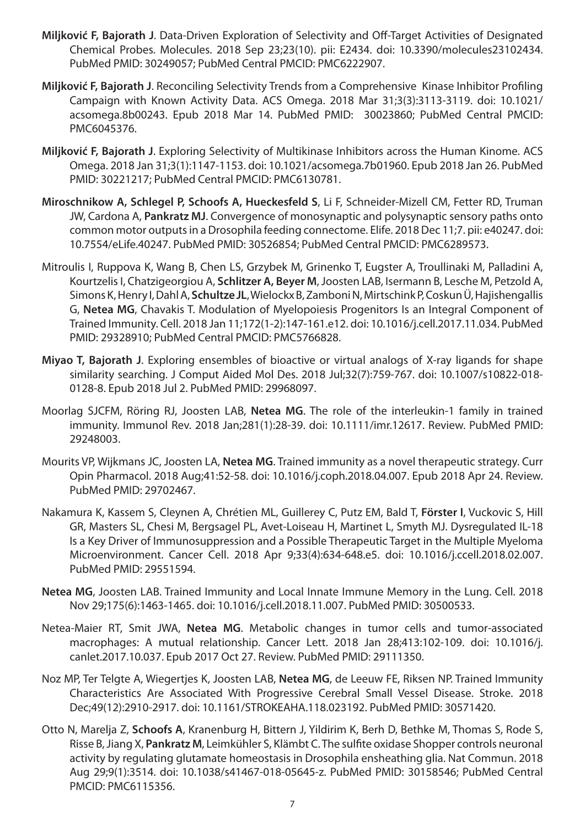- **Miljković F, Bajorath J**. Data-Driven Exploration of Selectivity and Off-Target Activities of Designated Chemical Probes. Molecules. 2018 Sep 23;23(10). pii: E2434. doi: 10.3390/molecules23102434. PubMed PMID: 30249057; PubMed Central PMCID: PMC6222907.
- **Miljković F, Bajorath J**. Reconciling Selectivity Trends from a Comprehensive Kinase Inhibitor Profiling Campaign with Known Activity Data. ACS Omega. 2018 Mar 31;3(3):3113-3119. doi: 10.1021/ acsomega.8b00243. Epub 2018 Mar 14. PubMed PMID: 30023860; PubMed Central PMCID: PMC6045376.
- **Miljković F, Bajorath J**. Exploring Selectivity of Multikinase Inhibitors across the Human Kinome. ACS Omega. 2018 Jan 31;3(1):1147-1153. doi: 10.1021/acsomega.7b01960. Epub 2018 Jan 26. PubMed PMID: 30221217; PubMed Central PMCID: PMC6130781.
- **Miroschnikow A, Schlegel P, Schoofs A, Hueckesfeld S**, Li F, Schneider-Mizell CM, Fetter RD, Truman JW, Cardona A, **Pankratz MJ**. Convergence of monosynaptic and polysynaptic sensory paths onto common motor outputs in a Drosophila feeding connectome. Elife. 2018 Dec 11;7. pii: e40247. doi: 10.7554/eLife.40247. PubMed PMID: 30526854; PubMed Central PMCID: PMC6289573.
- Mitroulis I, Ruppova K, Wang B, Chen LS, Grzybek M, Grinenko T, Eugster A, Troullinaki M, Palladini A, Kourtzelis I, Chatzigeorgiou A, **Schlitzer A, Beyer M**, Joosten LAB, Isermann B, Lesche M, Petzold A, Simons K, Henry I, Dahl A, **Schultze JL**, Wielockx B, Zamboni N, Mirtschink P, Coskun Ü, Hajishengallis G, **Netea MG**, Chavakis T. Modulation of Myelopoiesis Progenitors Is an Integral Component of Trained Immunity. Cell. 2018 Jan 11;172(1-2):147-161.e12. doi: 10.1016/j.cell.2017.11.034. PubMed PMID: 29328910; PubMed Central PMCID: PMC5766828.
- **Miyao T, Bajorath J**. Exploring ensembles of bioactive or virtual analogs of X-ray ligands for shape similarity searching. J Comput Aided Mol Des. 2018 Jul;32(7):759-767. doi: 10.1007/s10822-018- 0128-8. Epub 2018 Jul 2. PubMed PMID: 29968097.
- Moorlag SJCFM, Röring RJ, Joosten LAB, **Netea MG**. The role of the interleukin-1 family in trained immunity. Immunol Rev. 2018 Jan;281(1):28-39. doi: 10.1111/imr.12617. Review. PubMed PMID: 29248003.
- Mourits VP, Wijkmans JC, Joosten LA, **Netea MG**. Trained immunity as a novel therapeutic strategy. Curr Opin Pharmacol. 2018 Aug;41:52-58. doi: 10.1016/j.coph.2018.04.007. Epub 2018 Apr 24. Review. PubMed PMID: 29702467.
- Nakamura K, Kassem S, Cleynen A, Chrétien ML, Guillerey C, Putz EM, Bald T, **Förster I**, Vuckovic S, Hill GR, Masters SL, Chesi M, Bergsagel PL, Avet-Loiseau H, Martinet L, Smyth MJ. Dysregulated IL-18 Is a Key Driver of Immunosuppression and a Possible Therapeutic Target in the Multiple Myeloma Microenvironment. Cancer Cell. 2018 Apr 9;33(4):634-648.e5. doi: 10.1016/j.ccell.2018.02.007. PubMed PMID: 29551594.
- **Netea MG**, Joosten LAB. Trained Immunity and Local Innate Immune Memory in the Lung. Cell. 2018 Nov 29;175(6):1463-1465. doi: 10.1016/j.cell.2018.11.007. PubMed PMID: 30500533.
- Netea-Maier RT, Smit JWA, **Netea MG**. Metabolic changes in tumor cells and tumor-associated macrophages: A mutual relationship. Cancer Lett. 2018 Jan 28;413:102-109. doi: 10.1016/j. canlet.2017.10.037. Epub 2017 Oct 27. Review. PubMed PMID: 29111350.
- Noz MP, Ter Telgte A, Wiegertjes K, Joosten LAB, **Netea MG**, de Leeuw FE, Riksen NP. Trained Immunity Characteristics Are Associated With Progressive Cerebral Small Vessel Disease. Stroke. 2018 Dec;49(12):2910-2917. doi: 10.1161/STROKEAHA.118.023192. PubMed PMID: 30571420.
- Otto N, Marelja Z, **Schoofs A**, Kranenburg H, Bittern J, Yildirim K, Berh D, Bethke M, Thomas S, Rode S, Risse B, Jiang X, **Pankratz M**, Leimkühler S, Klämbt C. The sulfite oxidase Shopper controls neuronal activity by regulating glutamate homeostasis in Drosophila ensheathing glia. Nat Commun. 2018 Aug 29;9(1):3514. doi: 10.1038/s41467-018-05645-z. PubMed PMID: 30158546; PubMed Central PMCID: PMC6115356.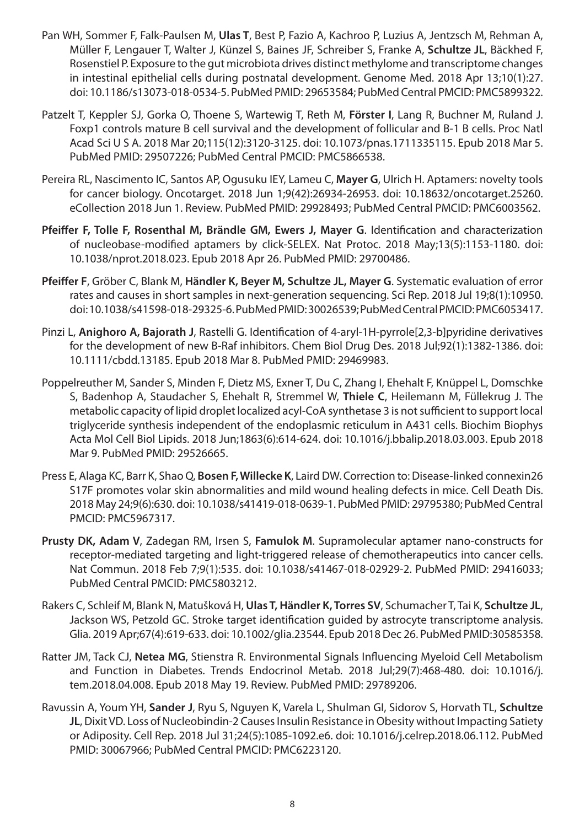- Pan WH, Sommer F, Falk-Paulsen M, **Ulas T**, Best P, Fazio A, Kachroo P, Luzius A, Jentzsch M, Rehman A, Müller F, Lengauer T, Walter J, Künzel S, Baines JF, Schreiber S, Franke A, **Schultze JL**, Bäckhed F, Rosenstiel P. Exposure to the gut microbiota drives distinct methylome and transcriptome changes in intestinal epithelial cells during postnatal development. Genome Med. 2018 Apr 13;10(1):27. doi: 10.1186/s13073-018-0534-5. PubMed PMID: 29653584; PubMed Central PMCID: PMC5899322.
- Patzelt T, Keppler SJ, Gorka O, Thoene S, Wartewig T, Reth M, **Förster I**, Lang R, Buchner M, Ruland J. Foxp1 controls mature B cell survival and the development of follicular and B-1 B cells. Proc Natl Acad Sci U S A. 2018 Mar 20;115(12):3120-3125. doi: 10.1073/pnas.1711335115. Epub 2018 Mar 5. PubMed PMID: 29507226; PubMed Central PMCID: PMC5866538.
- Pereira RL, Nascimento IC, Santos AP, Ogusuku IEY, Lameu C, **Mayer G**, Ulrich H. Aptamers: novelty tools for cancer biology. Oncotarget. 2018 Jun 1;9(42):26934-26953. doi: 10.18632/oncotarget.25260. eCollection 2018 Jun 1. Review. PubMed PMID: 29928493; PubMed Central PMCID: PMC6003562.
- **Pfeiffer F, Tolle F, Rosenthal M, Brändle GM, Ewers J, Mayer G**. Identification and characterization of nucleobase-modified aptamers by click-SELEX. Nat Protoc. 2018 May;13(5):1153-1180. doi: 10.1038/nprot.2018.023. Epub 2018 Apr 26. PubMed PMID: 29700486.
- **Pfeiffer F**, Gröber C, Blank M, **Händler K, Beyer M, Schultze JL, Mayer G**. Systematic evaluation of error rates and causes in short samples in next-generation sequencing. Sci Rep. 2018 Jul 19;8(1):10950. doi: 10.1038/s41598-018-29325-6. PubMed PMID: 30026539; PubMed Central PMCID: PMC6053417.
- Pinzi L, **Anighoro A, Bajorath J**, Rastelli G. Identification of 4-aryl-1H-pyrrole[2,3-b]pyridine derivatives for the development of new B-Raf inhibitors. Chem Biol Drug Des. 2018 Jul;92(1):1382-1386. doi: 10.1111/cbdd.13185. Epub 2018 Mar 8. PubMed PMID: 29469983.
- Poppelreuther M, Sander S, Minden F, Dietz MS, Exner T, Du C, Zhang I, Ehehalt F, Knüppel L, Domschke S, Badenhop A, Staudacher S, Ehehalt R, Stremmel W, **Thiele C**, Heilemann M, Füllekrug J. The metabolic capacity of lipid droplet localized acyl-CoA synthetase 3 is not sufficient to support local triglyceride synthesis independent of the endoplasmic reticulum in A431 cells. Biochim Biophys Acta Mol Cell Biol Lipids. 2018 Jun;1863(6):614-624. doi: 10.1016/j.bbalip.2018.03.003. Epub 2018 Mar 9. PubMed PMID: 29526665.
- Press E, Alaga KC, Barr K, Shao Q, **Bosen F, Willecke K**, Laird DW. Correction to: Disease-linked connexin26 S17F promotes volar skin abnormalities and mild wound healing defects in mice. Cell Death Dis. 2018 May 24;9(6):630. doi: 10.1038/s41419-018-0639-1. PubMed PMID: 29795380; PubMed Central PMCID: PMC5967317.
- **Prusty DK, Adam V**, Zadegan RM, Irsen S, **Famulok M**. Supramolecular aptamer nano-constructs for receptor-mediated targeting and light-triggered release of chemotherapeutics into cancer cells. Nat Commun. 2018 Feb 7;9(1):535. doi: 10.1038/s41467-018-02929-2. PubMed PMID: 29416033; PubMed Central PMCID: PMC5803212.
- Rakers C, Schleif M, Blank N, Matušková H, **Ulas T, Händler K, Torres SV**, Schumacher T, Tai K, **Schultze JL**, Jackson WS, Petzold GC. Stroke target identification guided by astrocyte transcriptome analysis. Glia. 2019 Apr;67(4):619-633. doi: 10.1002/glia.23544. Epub 2018 Dec 26. PubMed PMID:30585358.
- Ratter JM, Tack CJ, **Netea MG**, Stienstra R. Environmental Signals Influencing Myeloid Cell Metabolism and Function in Diabetes. Trends Endocrinol Metab. 2018 Jul;29(7):468-480. doi: 10.1016/j. tem.2018.04.008. Epub 2018 May 19. Review. PubMed PMID: 29789206.
- Ravussin A, Youm YH, **Sander J**, Ryu S, Nguyen K, Varela L, Shulman GI, Sidorov S, Horvath TL, **Schultze JL**, Dixit VD. Loss of Nucleobindin-2 Causes Insulin Resistance in Obesity without Impacting Satiety or Adiposity. Cell Rep. 2018 Jul 31;24(5):1085-1092.e6. doi: 10.1016/j.celrep.2018.06.112. PubMed PMID: 30067966; PubMed Central PMCID: PMC6223120.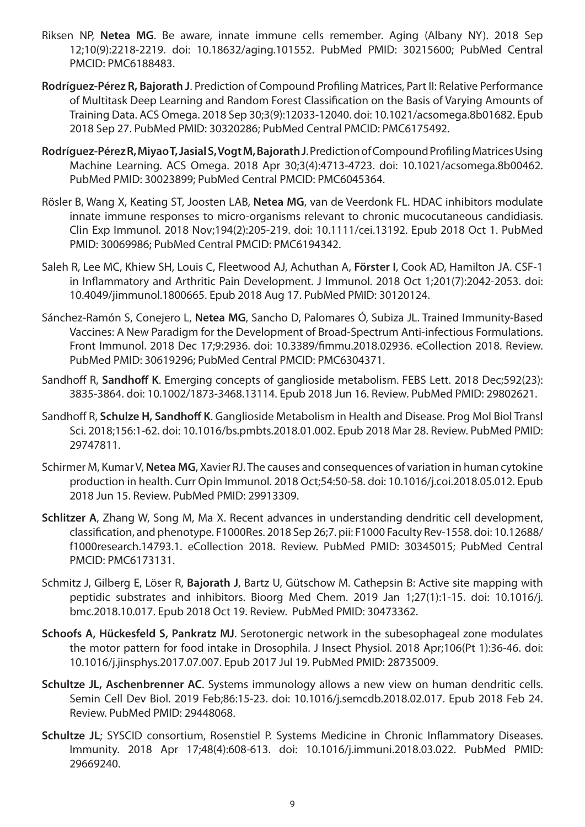- Riksen NP, **Netea MG**. Be aware, innate immune cells remember. Aging (Albany NY). 2018 Sep 12;10(9):2218-2219. doi: 10.18632/aging.101552. PubMed PMID: 30215600; PubMed Central PMCID: PMC6188483.
- **Rodríguez-Pérez R, Bajorath J**. Prediction of Compound Profiling Matrices, Part II: Relative Performance of Multitask Deep Learning and Random Forest Classification on the Basis of Varying Amounts of Training Data. ACS Omega. 2018 Sep 30;3(9):12033-12040. doi: 10.1021/acsomega.8b01682. Epub 2018 Sep 27. PubMed PMID: 30320286; PubMed Central PMCID: PMC6175492.
- **Rodríguez-Pérez R, Miyao T, Jasial S, Vogt M, Bajorath J**. Prediction of Compound Profiling Matrices Using Machine Learning. ACS Omega. 2018 Apr 30;3(4):4713-4723. doi: 10.1021/acsomega.8b00462. PubMed PMID: 30023899; PubMed Central PMCID: PMC6045364.
- Rösler B, Wang X, Keating ST, Joosten LAB, **Netea MG**, van de Veerdonk FL. HDAC inhibitors modulate innate immune responses to micro-organisms relevant to chronic mucocutaneous candidiasis. Clin Exp Immunol. 2018 Nov;194(2):205-219. doi: 10.1111/cei.13192. Epub 2018 Oct 1. PubMed PMID: 30069986; PubMed Central PMCID: PMC6194342.
- Saleh R, Lee MC, Khiew SH, Louis C, Fleetwood AJ, Achuthan A, **Förster I**, Cook AD, Hamilton JA. CSF-1 in Inflammatory and Arthritic Pain Development. J Immunol. 2018 Oct 1;201(7):2042-2053. doi: 10.4049/jimmunol.1800665. Epub 2018 Aug 17. PubMed PMID: 30120124.
- Sánchez-Ramón S, Conejero L, **Netea MG**, Sancho D, Palomares Ó, Subiza JL. Trained Immunity-Based Vaccines: A New Paradigm for the Development of Broad-Spectrum Anti-infectious Formulations. Front Immunol. 2018 Dec 17;9:2936. doi: 10.3389/fimmu.2018.02936. eCollection 2018. Review. PubMed PMID: 30619296; PubMed Central PMCID: PMC6304371.
- Sandhoff R, **Sandhoff K**. Emerging concepts of ganglioside metabolism. FEBS Lett. 2018 Dec;592(23): 3835-3864. doi: 10.1002/1873-3468.13114. Epub 2018 Jun 16. Review. PubMed PMID: 29802621.
- Sandhoff R, **Schulze H, Sandhoff K**. Ganglioside Metabolism in Health and Disease. Prog Mol Biol Transl Sci. 2018;156:1-62. doi: 10.1016/bs.pmbts.2018.01.002. Epub 2018 Mar 28. Review. PubMed PMID: 29747811.
- Schirmer M, Kumar V, **Netea MG**, Xavier RJ. The causes and consequences of variation in human cytokine production in health. Curr Opin Immunol. 2018 Oct;54:50-58. doi: 10.1016/j.coi.2018.05.012. Epub 2018 Jun 15. Review. PubMed PMID: 29913309.
- **Schlitzer A**, Zhang W, Song M, Ma X. Recent advances in understanding dendritic cell development, classification, and phenotype. F1000Res. 2018 Sep 26;7. pii: F1000 Faculty Rev-1558. doi: 10.12688/ f1000research.14793.1. eCollection 2018. Review. PubMed PMID: 30345015; PubMed Central PMCID: PMC6173131.
- Schmitz J, Gilberg E, Löser R, **Bajorath J**, Bartz U, Gütschow M. Cathepsin B: Active site mapping with peptidic substrates and inhibitors. Bioorg Med Chem. 2019 Jan 1;27(1):1-15. doi: 10.1016/j. bmc.2018.10.017. Epub 2018 Oct 19. Review. PubMed PMID: 30473362.
- **Schoofs A, Hückesfeld S, Pankratz MJ**. Serotonergic network in the subesophageal zone modulates the motor pattern for food intake in Drosophila. J Insect Physiol. 2018 Apr;106(Pt 1):36-46. doi: 10.1016/j.jinsphys.2017.07.007. Epub 2017 Jul 19. PubMed PMID: 28735009.
- **Schultze JL, Aschenbrenner AC**. Systems immunology allows a new view on human dendritic cells. Semin Cell Dev Biol. 2019 Feb;86:15-23. doi: 10.1016/j.semcdb.2018.02.017. Epub 2018 Feb 24. Review. PubMed PMID: 29448068.
- Schultze JL; SYSCID consortium, Rosenstiel P. Systems Medicine in Chronic Inflammatory Diseases. Immunity. 2018 Apr 17;48(4):608-613. doi: 10.1016/j.immuni.2018.03.022. PubMed PMID: 29669240.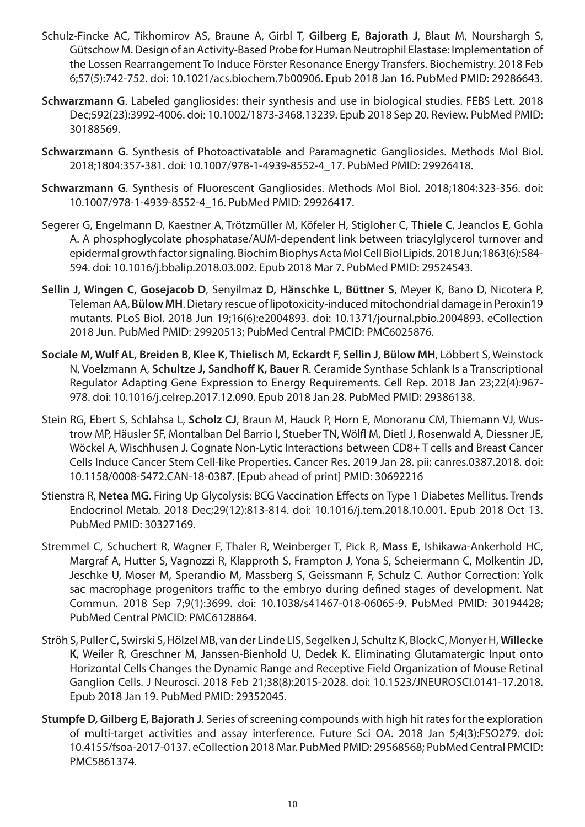- Schulz-Fincke AC, Tikhomirov AS, Braune A, Girbl T, **Gilberg E, Bajorath J**, Blaut M, Nourshargh S, Gütschow M. Design of an Activity-Based Probe for Human Neutrophil Elastase: Implementation of the Lossen Rearrangement To Induce Förster Resonance Energy Transfers. Biochemistry. 2018 Feb 6;57(5):742-752. doi: 10.1021/acs.biochem.7b00906. Epub 2018 Jan 16. PubMed PMID: 29286643.
- **Schwarzmann G**. Labeled gangliosides: their synthesis and use in biological studies. FEBS Lett. 2018 Dec;592(23):3992-4006. doi: 10.1002/1873-3468.13239. Epub 2018 Sep 20. Review. PubMed PMID: 30188569.
- **Schwarzmann G**. Synthesis of Photoactivatable and Paramagnetic Gangliosides. Methods Mol Biol. 2018;1804:357-381. doi: 10.1007/978-1-4939-8552-4\_17. PubMed PMID: 29926418.
- **Schwarzmann G**. Synthesis of Fluorescent Gangliosides. Methods Mol Biol. 2018;1804:323-356. doi: 10.1007/978-1-4939-8552-4\_16. PubMed PMID: 29926417.
- Segerer G, Engelmann D, Kaestner A, Trötzmüller M, Köfeler H, Stigloher C, **Thiele C**, Jeanclos E, Gohla A. A phosphoglycolate phosphatase/AUM-dependent link between triacylglycerol turnover and epidermal growth factor signaling. Biochim Biophys Acta Mol Cell Biol Lipids. 2018 Jun;1863(6):584- 594. doi: 10.1016/j.bbalip.2018.03.002. Epub 2018 Mar 7. PubMed PMID: 29524543.
- **Sellin J, Wingen C, Gosejacob D**, Senyilma**z D, Hänschke L, Büttner S**, Meyer K, Bano D, Nicotera P, Teleman AA, **Bülow MH**. Dietary rescue of lipotoxicity-induced mitochondrial damage in Peroxin19 mutants. PLoS Biol. 2018 Jun 19;16(6):e2004893. doi: 10.1371/journal.pbio.2004893. eCollection 2018 Jun. PubMed PMID: 29920513; PubMed Central PMCID: PMC6025876.
- **Sociale M, Wulf AL, Breiden B, Klee K, Thielisch M, Eckardt F, Sellin J, Bülow MH**, Löbbert S, Weinstock N, Voelzmann A, **Schultze J, Sandhoff K, Bauer R**. Ceramide Synthase Schlank Is a Transcriptional Regulator Adapting Gene Expression to Energy Requirements. Cell Rep. 2018 Jan 23;22(4):967- 978. doi: 10.1016/j.celrep.2017.12.090. Epub 2018 Jan 28. PubMed PMID: 29386138.
- Stein RG, Ebert S, Schlahsa L, **Scholz CJ**, Braun M, Hauck P, Horn E, Monoranu CM, Thiemann VJ, Wustrow MP, Häusler SF, Montalban Del Barrio I, Stueber TN, Wölfl M, Dietl J, Rosenwald A, Diessner JE, Wöckel A, Wischhusen J. Cognate Non-Lytic Interactions between CD8+ T cells and Breast Cancer Cells Induce Cancer Stem Cell-like Properties. Cancer Res. 2019 Jan 28. pii: canres.0387.2018. doi: 10.1158/0008-5472.CAN-18-0387. [Epub ahead of print] PMID: 30692216
- Stienstra R, **Netea MG**. Firing Up Glycolysis: BCG Vaccination Effects on Type 1 Diabetes Mellitus. Trends Endocrinol Metab. 2018 Dec;29(12):813-814. doi: 10.1016/j.tem.2018.10.001. Epub 2018 Oct 13. PubMed PMID: 30327169.
- Stremmel C, Schuchert R, Wagner F, Thaler R, Weinberger T, Pick R, **Mass E**, Ishikawa-Ankerhold HC, Margraf A, Hutter S, Vagnozzi R, Klapproth S, Frampton J, Yona S, Scheiermann C, Molkentin JD, Jeschke U, Moser M, Sperandio M, Massberg S, Geissmann F, Schulz C. Author Correction: Yolk sac macrophage progenitors traffic to the embryo during defined stages of development. Nat Commun. 2018 Sep 7;9(1):3699. doi: 10.1038/s41467-018-06065-9. PubMed PMID: 30194428; PubMed Central PMCID: PMC6128864.
- Ströh S, Puller C, Swirski S, Hölzel MB, van der Linde LIS, Segelken J, Schultz K, Block C, Monyer H, **Willecke K**, Weiler R, Greschner M, Janssen-Bienhold U, Dedek K. Eliminating Glutamatergic Input onto Horizontal Cells Changes the Dynamic Range and Receptive Field Organization of Mouse Retinal Ganglion Cells. J Neurosci. 2018 Feb 21;38(8):2015-2028. doi: 10.1523/JNEUROSCI.0141-17.2018. Epub 2018 Jan 19. PubMed PMID: 29352045.
- **Stumpfe D, Gilberg E, Bajorath J**. Series of screening compounds with high hit rates for the exploration of multi-target activities and assay interference. Future Sci OA. 2018 Jan 5;4(3):FSO279. doi: 10.4155/fsoa-2017-0137. eCollection 2018 Mar. PubMed PMID: 29568568; PubMed Central PMCID: PMC5861374.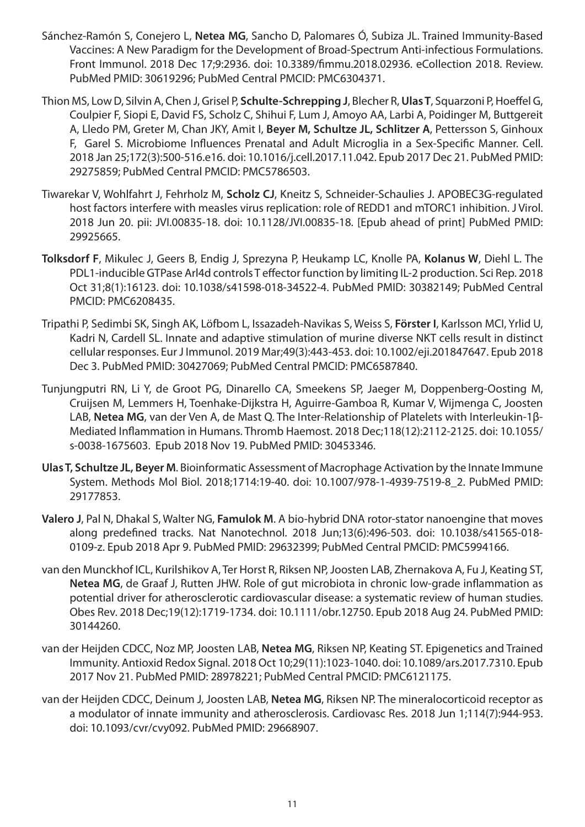- Sánchez-Ramón S, Conejero L, **Netea MG**, Sancho D, Palomares Ó, Subiza JL. Trained Immunity-Based Vaccines: A New Paradigm for the Development of Broad-Spectrum Anti-infectious Formulations. Front Immunol. 2018 Dec 17;9:2936. doi: 10.3389/fimmu.2018.02936. eCollection 2018. Review. PubMed PMID: 30619296; PubMed Central PMCID: PMC6304371.
- Thion MS, Low D, Silvin A, Chen J, Grisel P, **Schulte-Schrepping J**, Blecher R, **Ulas T**, Squarzoni P, Hoeffel G, Coulpier F, Siopi E, David FS, Scholz C, Shihui F, Lum J, Amoyo AA, Larbi A, Poidinger M, Buttgereit A, Lledo PM, Greter M, Chan JKY, Amit I, **Beyer M, Schultze JL, Schlitzer A**, Pettersson S, Ginhoux F, Garel S. Microbiome Influences Prenatal and Adult Microglia in a Sex-Specific Manner. Cell. 2018 Jan 25;172(3):500-516.e16. doi: 10.1016/j.cell.2017.11.042. Epub 2017 Dec 21. PubMed PMID: 29275859; PubMed Central PMCID: PMC5786503.
- Tiwarekar V, Wohlfahrt J, Fehrholz M, **Scholz CJ**, Kneitz S, Schneider-Schaulies J. APOBEC3G-regulated host factors interfere with measles virus replication: role of REDD1 and mTORC1 inhibition. J Virol. 2018 Jun 20. pii: JVI.00835-18. doi: 10.1128/JVI.00835-18. [Epub ahead of print] PubMed PMID: 29925665.
- **Tolksdorf F**, Mikulec J, Geers B, Endig J, Sprezyna P, Heukamp LC, Knolle PA, **Kolanus W**, Diehl L. The PDL1-inducible GTPase Arl4d controls T effector function by limiting IL-2 production. Sci Rep. 2018 Oct 31;8(1):16123. doi: 10.1038/s41598-018-34522-4. PubMed PMID: 30382149; PubMed Central PMCID: PMC6208435.
- Tripathi P, Sedimbi SK, Singh AK, Löfbom L, Issazadeh-Navikas S, Weiss S, **Förster I**, Karlsson MCI, Yrlid U, Kadri N, Cardell SL. Innate and adaptive stimulation of murine diverse NKT cells result in distinct cellular responses. Eur J Immunol. 2019 Mar;49(3):443-453. doi: 10.1002/eji.201847647. Epub 2018 Dec 3. PubMed PMID: 30427069; PubMed Central PMCID: PMC6587840.
- Tunjungputri RN, Li Y, de Groot PG, Dinarello CA, Smeekens SP, Jaeger M, Doppenberg-Oosting M, Cruijsen M, Lemmers H, Toenhake-Dijkstra H, Aguirre-Gamboa R, Kumar V, Wijmenga C, Joosten LAB, **Netea MG**, van der Ven A, de Mast Q. The Inter-Relationship of Platelets with Interleukin-1β-Mediated Inflammation in Humans. Thromb Haemost. 2018 Dec;118(12):2112-2125. doi: 10.1055/ s-0038-1675603. Epub 2018 Nov 19. PubMed PMID: 30453346.
- **Ulas T, Schultze JL, Beyer M**. Bioinformatic Assessment of Macrophage Activation by the Innate Immune System. Methods Mol Biol. 2018;1714:19-40. doi: 10.1007/978-1-4939-7519-8\_2. PubMed PMID: 29177853.
- **Valero J**, Pal N, Dhakal S, Walter NG, **Famulok M**. A bio-hybrid DNA rotor-stator nanoengine that moves along predefined tracks. Nat Nanotechnol. 2018 Jun;13(6):496-503. doi: 10.1038/s41565-018- 0109-z. Epub 2018 Apr 9. PubMed PMID: 29632399; PubMed Central PMCID: PMC5994166.
- van den Munckhof ICL, Kurilshikov A, Ter Horst R, Riksen NP, Joosten LAB, Zhernakova A, Fu J, Keating ST, **Netea MG**, de Graaf J, Rutten JHW. Role of gut microbiota in chronic low-grade inflammation as potential driver for atherosclerotic cardiovascular disease: a systematic review of human studies. Obes Rev. 2018 Dec;19(12):1719-1734. doi: 10.1111/obr.12750. Epub 2018 Aug 24. PubMed PMID: 30144260.
- van der Heijden CDCC, Noz MP, Joosten LAB, **Netea MG**, Riksen NP, Keating ST. Epigenetics and Trained Immunity. Antioxid Redox Signal. 2018 Oct 10;29(11):1023-1040. doi: 10.1089/ars.2017.7310. Epub 2017 Nov 21. PubMed PMID: 28978221; PubMed Central PMCID: PMC6121175.
- van der Heijden CDCC, Deinum J, Joosten LAB, **Netea MG**, Riksen NP. The mineralocorticoid receptor as a modulator of innate immunity and atherosclerosis. Cardiovasc Res. 2018 Jun 1;114(7):944-953. doi: 10.1093/cvr/cvy092. PubMed PMID: 29668907.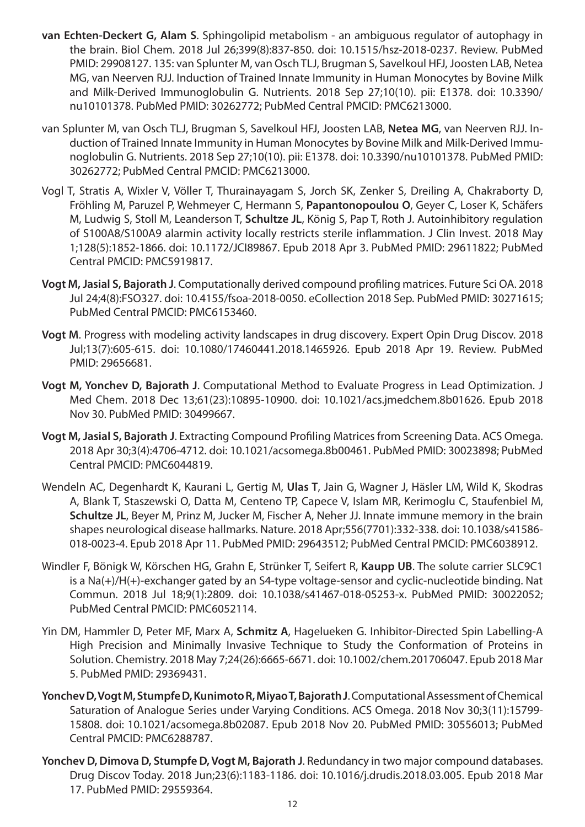- **van Echten-Deckert G, Alam S**. Sphingolipid metabolism an ambiguous regulator of autophagy in the brain. Biol Chem. 2018 Jul 26;399(8):837-850. doi: 10.1515/hsz-2018-0237. Review. PubMed PMID: 29908127. 135: van Splunter M, van Osch TLJ, Brugman S, Savelkoul HFJ, Joosten LAB, Netea MG, van Neerven RJJ. Induction of Trained Innate Immunity in Human Monocytes by Bovine Milk and Milk-Derived Immunoglobulin G. Nutrients. 2018 Sep 27;10(10). pii: E1378. doi: 10.3390/ nu10101378. PubMed PMID: 30262772; PubMed Central PMCID: PMC6213000.
- van Splunter M, van Osch TLJ, Brugman S, Savelkoul HFJ, Joosten LAB, **Netea MG**, van Neerven RJJ. Induction of Trained Innate Immunity in Human Monocytes by Bovine Milk and Milk-Derived Immunoglobulin G. Nutrients. 2018 Sep 27;10(10). pii: E1378. doi: 10.3390/nu10101378. PubMed PMID: 30262772; PubMed Central PMCID: PMC6213000.
- Vogl T, Stratis A, Wixler V, Völler T, Thurainayagam S, Jorch SK, Zenker S, Dreiling A, Chakraborty D, Fröhling M, Paruzel P, Wehmeyer C, Hermann S, **Papantonopoulou O**, Geyer C, Loser K, Schäfers M, Ludwig S, Stoll M, Leanderson T, **Schultze JL**, König S, Pap T, Roth J. Autoinhibitory regulation of S100A8/S100A9 alarmin activity locally restricts sterile inflammation. J Clin Invest. 2018 May 1;128(5):1852-1866. doi: 10.1172/JCI89867. Epub 2018 Apr 3. PubMed PMID: 29611822; PubMed Central PMCID: PMC5919817.
- **Vogt M, Jasial S, Bajorath J**. Computationally derived compound profiling matrices. Future Sci OA. 2018 Jul 24;4(8):FSO327. doi: 10.4155/fsoa-2018-0050. eCollection 2018 Sep. PubMed PMID: 30271615; PubMed Central PMCID: PMC6153460.
- **Vogt M**. Progress with modeling activity landscapes in drug discovery. Expert Opin Drug Discov. 2018 Jul;13(7):605-615. doi: 10.1080/17460441.2018.1465926. Epub 2018 Apr 19. Review. PubMed PMID: 29656681.
- **Vogt M, Yonchev D, Bajorath J**. Computational Method to Evaluate Progress in Lead Optimization. J Med Chem. 2018 Dec 13;61(23):10895-10900. doi: 10.1021/acs.jmedchem.8b01626. Epub 2018 Nov 30. PubMed PMID: 30499667.
- **Vogt M, Jasial S, Bajorath J**. Extracting Compound Profiling Matrices from Screening Data. ACS Omega. 2018 Apr 30;3(4):4706-4712. doi: 10.1021/acsomega.8b00461. PubMed PMID: 30023898; PubMed Central PMCID: PMC6044819.
- Wendeln AC, Degenhardt K, Kaurani L, Gertig M, **Ulas T**, Jain G, Wagner J, Häsler LM, Wild K, Skodras A, Blank T, Staszewski O, Datta M, Centeno TP, Capece V, Islam MR, Kerimoglu C, Staufenbiel M, **Schultze JL**, Beyer M, Prinz M, Jucker M, Fischer A, Neher JJ. Innate immune memory in the brain shapes neurological disease hallmarks. Nature. 2018 Apr;556(7701):332-338. doi: 10.1038/s41586- 018-0023-4. Epub 2018 Apr 11. PubMed PMID: 29643512; PubMed Central PMCID: PMC6038912.
- Windler F, Bönigk W, Körschen HG, Grahn E, Strünker T, Seifert R, **Kaupp UB**. The solute carrier SLC9C1 is a Na(+)/H(+)-exchanger gated by an S4-type voltage-sensor and cyclic-nucleotide binding. Nat Commun. 2018 Jul 18;9(1):2809. doi: 10.1038/s41467-018-05253-x. PubMed PMID: 30022052; PubMed Central PMCID: PMC6052114.
- Yin DM, Hammler D, Peter MF, Marx A, **Schmitz A**, Hagelueken G. Inhibitor-Directed Spin Labelling-A High Precision and Minimally Invasive Technique to Study the Conformation of Proteins in Solution. Chemistry. 2018 May 7;24(26):6665-6671. doi: 10.1002/chem.201706047. Epub 2018 Mar 5. PubMed PMID: 29369431.
- **Yonchev D, Vogt M, Stumpfe D, Kunimoto R, Miyao T, Bajorath J**. Computational Assessment of Chemical Saturation of Analogue Series under Varying Conditions. ACS Omega. 2018 Nov 30;3(11):15799- 15808. doi: 10.1021/acsomega.8b02087. Epub 2018 Nov 20. PubMed PMID: 30556013; PubMed Central PMCID: PMC6288787.
- **Yonchev D, Dimova D, Stumpfe D, Vogt M, Bajorath J**. Redundancy in two major compound databases. Drug Discov Today. 2018 Jun;23(6):1183-1186. doi: 10.1016/j.drudis.2018.03.005. Epub 2018 Mar 17. PubMed PMID: 29559364.